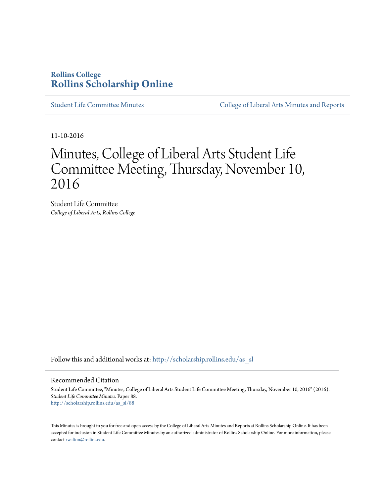## **Rollins College [Rollins Scholarship Online](http://scholarship.rollins.edu?utm_source=scholarship.rollins.edu%2Fas_sl%2F88&utm_medium=PDF&utm_campaign=PDFCoverPages)**

[Student Life Committee Minutes](http://scholarship.rollins.edu/as_sl?utm_source=scholarship.rollins.edu%2Fas_sl%2F88&utm_medium=PDF&utm_campaign=PDFCoverPages) [College of Liberal Arts Minutes and Reports](http://scholarship.rollins.edu/as_min?utm_source=scholarship.rollins.edu%2Fas_sl%2F88&utm_medium=PDF&utm_campaign=PDFCoverPages)

11-10-2016

## Minutes, College of Liberal Arts Student Life Committee Meeting, Thursday, November 10, 2016

Student Life Committee *College of Liberal Arts, Rollins College*

Follow this and additional works at: [http://scholarship.rollins.edu/as\\_sl](http://scholarship.rollins.edu/as_sl?utm_source=scholarship.rollins.edu%2Fas_sl%2F88&utm_medium=PDF&utm_campaign=PDFCoverPages)

## Recommended Citation

Student Life Committee, "Minutes, College of Liberal Arts Student Life Committee Meeting, Thursday, November 10, 2016" (2016). *Student Life Committee Minutes.* Paper 88. [http://scholarship.rollins.edu/as\\_sl/88](http://scholarship.rollins.edu/as_sl/88?utm_source=scholarship.rollins.edu%2Fas_sl%2F88&utm_medium=PDF&utm_campaign=PDFCoverPages)

This Minutes is brought to you for free and open access by the College of Liberal Arts Minutes and Reports at Rollins Scholarship Online. It has been accepted for inclusion in Student Life Committee Minutes by an authorized administrator of Rollins Scholarship Online. For more information, please contact [rwalton@rollins.edu](mailto:rwalton@rollins.edu).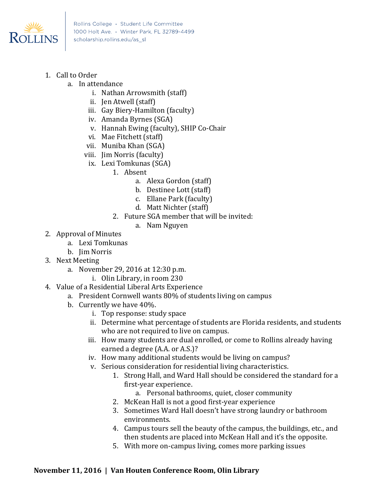

- 1. Call to Order
	- a. In attendance
		- i. Nathan Arrowsmith (staff)
		- ii. Jen Atwell (staff)
		- iii. Gay Biery-Hamilton (faculty)
		- iv. Amanda Byrnes (SGA)
		- v. Hannah Ewing (faculty), SHIP Co-Chair
		- vi. Mae Fitchett (staff)
		- vii. Muniba Khan (SGA)
		- viii. Jim Norris (faculty)
			- ix. Lexi Tomkunas (SGA)
				- 1. Absent
					- a. Alexa Gordon (staff)
					- b. Destinee Lott (staff)
					- c. Ellane Park (faculty)
					- d. Matt Nichter (staff)
					- 2. Future SGA member that will be invited:
						- a. Nam Nguyen
- 2. Approval of Minutes
	- a. Lexi Tomkunas
	- b. Jim Norris
- 3. Next Meeting
	- a. November 29, 2016 at 12:30 p.m.
		- i. Olin Library, in room 230
- 4. Value of a Residential Liberal Arts Experience
	- a. President Cornwell wants 80% of students living on campus
	- b. Currently we have 40%.
		- i. Top response: study space
		- ii. Determine what percentage of students are Florida residents, and students who are not required to live on campus.
		- iii. How many students are dual enrolled, or come to Rollins already having earned a degree (A.A. or A.S.)?
		- iv. How many additional students would be living on campus?
		- v. Serious consideration for residential living characteristics.
			- 1. Strong Hall, and Ward Hall should be considered the standard for a first-year experience.
				- a. Personal bathrooms, quiet, closer community
			- 2. McKean Hall is not a good first-year experience
			- 3. Sometimes Ward Hall doesn't have strong laundry or bathroom environments.
			- 4. Campus tours sell the beauty of the campus, the buildings, etc., and then students are placed into McKean Hall and it's the opposite.
			- 5. With more on-campus living, comes more parking issues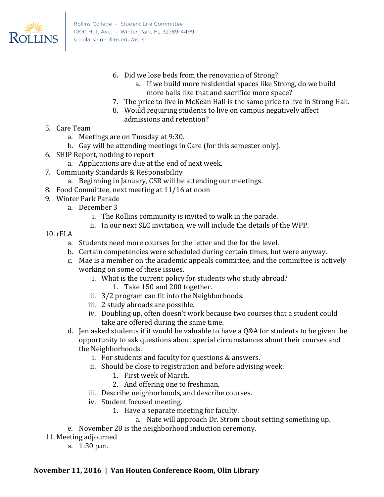

- 6. Did we lose beds from the renovation of Strong?
	- a. If we build more residential spaces like Strong, do we build more halls like that and sacrifice more space?
- 7. The price to live in McKean Hall is the same price to live in Strong Hall.
- 8. Would requiring students to live on campus negatively affect admissions and retention?
- 5. Care Team
	- a. Meetings are on Tuesday at 9:30.
	- b. Gay will be attending meetings in Care (for this semester only).
- 6. SHIP Report, nothing to report
	- a. Applications are due at the end of next week.
- 7. Community Standards & Responsibility
	- a. Beginning in January, CSR will be attending our meetings.
- 8. Food Committee, next meeting at 11/16 at noon
- 9. Winter Park Parade
	- a. December 3
		- i. The Rollins community is invited to walk in the parade.
		- ii. In our next SLC invitation, we will include the details of the WPP.
- 10. rFLA
	- a. Students need more courses for the letter and the for the level.
	- b. Certain competencies were scheduled during certain times, but were anyway.
	- c. Mae is a member on the academic appeals committee, and the committee is actively working on some of these issues.
		- i. What is the current policy for students who study abroad?
			- 1. Take 150 and 200 together.
		- ii. 3/2 program can fit into the Neighborhoods.
		- iii. 2 study abroads are possible.
		- iv. Doubling up, often doesn't work because two courses that a student could take are offered during the same time.
	- d. Jen asked students if it would be valuable to have a Q&A for students to be given the opportunity to ask questions about special circumstances about their courses and the Neighborhoods.
		- i. For students and faculty for questions & answers.
		- ii. Should be close to registration and before advising week.
			- 1. First week of March.
			- 2. And offering one to freshman.
		- iii. Describe neighborhoods, and describe courses.
		- iv. Student focused meeting.
			- 1. Have a separate meeting for faculty.
				- a. Nate will approach Dr. Strom about setting something up.
	- e. November 28 is the neighborhood induction ceremony.
- 11. Meeting adjourned
	- a. 1:30 p.m.